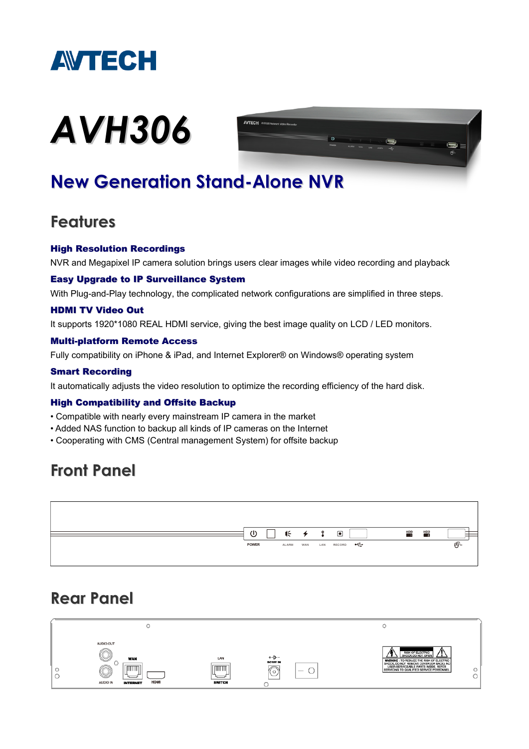

# *AVH306*



# **New Generation Stand-Alone NVR**

### **Features**

#### High Resolution Recordings

NVR and Megapixel IP camera solution brings users clear images while video recording and playback

#### Easy Upgrade to IP Surveillance System

With Plug-and-Play technology, the complicated network configurations are simplified in three steps.

#### HDMI TV Video Out

It supports 1920\*1080 REAL HDMI service, giving the best image quality on LCD / LED monitors.

#### Multi-platform Remote Access

Fully compatibility on iPhone & iPad, and Internet Explorer® on Windows® operating system

#### Smart Recording

It automatically adjusts the video resolution to optimize the recording efficiency of the hard disk.

#### High Compatibility and Offsite Backup

- Compatible with nearly every mainstream IP camera in the market
- Added NAS function to backup all kinds of IP cameras on the Internet
- Cooperating with CMS (Central management System) for offsite backup

## **Front Panel**



## **Rear Panel**